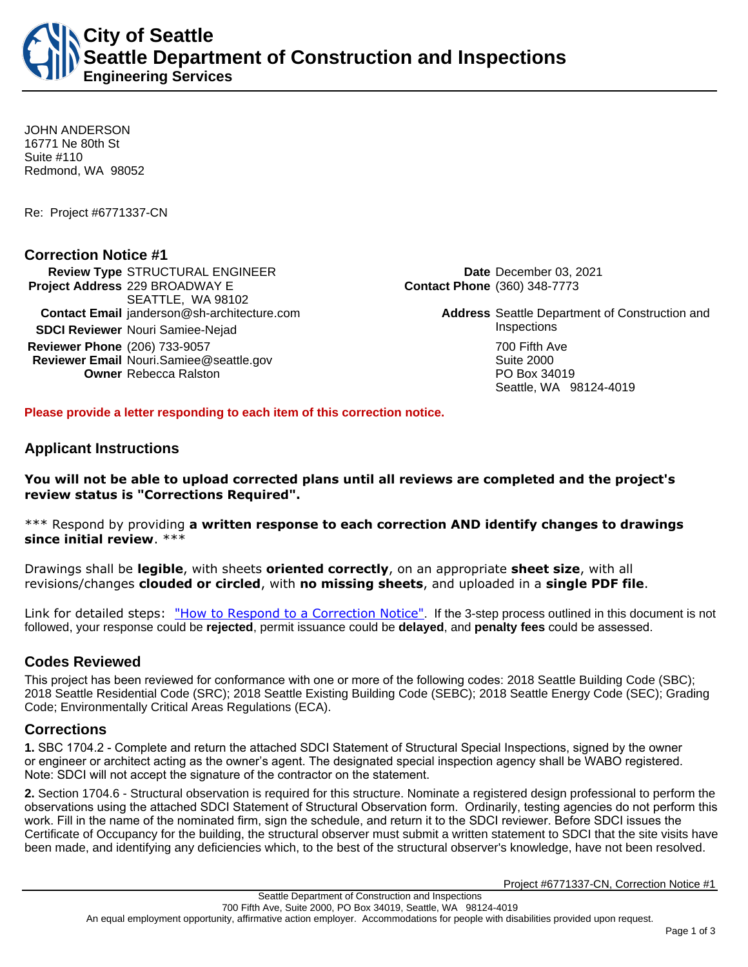JOHN ANDERSON 16771 Ne 80th St Suite #110 Redmond, WA 98052

Re: Project #6771337-CN

### **Correction Notice #1**

**Review Type** STRUCTURAL ENGINEER **Date** December 03, 2021 **Project Address** 229 BROADWAY E SEATTLE, WA 98102 **Contact Email** janderson@sh-architecture.com **Address** Seattle Department of Construction and **SDCI Reviewer** Nouri Samiee-Nejad **Inspections Reviewer Phone** (206) 733-9057 **700 Fifth Ave Reviewer Email** Nouri.Samiee@seattle.gov **Suite 2000** Suite 2000 **Owner** Rebecca Ralston **PO Box 34019** 

**Contact Phone** (360) 348-7773

Seattle, WA 98124-4019

**Please provide a letter responding to each item of this correction notice.**

## **Applicant Instructions**

**You will not be able to upload corrected plans until all reviews are completed and the project's review status is "Corrections Required".**

\*\*\* Respond by providing **a written response to each correction AND identify changes to drawings since initial review**. \*\*\*

Drawings shall be **legible**, with sheets **oriented correctly**, on an appropriate **sheet size**, with all revisions/changes **clouded or circled**, with **no missing sheets**, and uploaded in a **single PDF file**.

Link for detailed steps: ["How to Respond to a Correction Notice"](http://www.seattle.gov/documents/Departments/SDCI/Permits/HowtoRespondSDCICorrectionNotice.pdf). If the 3-step process outlined in this document is not followed, your response could be **rejected**, permit issuance could be **delayed**, and **penalty fees** could be assessed.

## **Codes Reviewed**

This project has been reviewed for conformance with one or more of the following codes: 2018 Seattle Building Code (SBC); 2018 Seattle Residential Code (SRC); 2018 Seattle Existing Building Code (SEBC); 2018 Seattle Energy Code (SEC); Grading Code; Environmentally Critical Areas Regulations (ECA).

#### **Corrections**

**1.** SBC 1704.2 - Complete and return the attached SDCI Statement of Structural Special Inspections, signed by the owner or engineer or architect acting as the owner's agent. The designated special inspection agency shall be WABO registered. Note: SDCI will not accept the signature of the contractor on the statement.

**2.** Section 1704.6 - Structural observation is required for this structure. Nominate a registered design professional to perform the observations using the attached SDCI Statement of Structural Observation form. Ordinarily, testing agencies do not perform this work. Fill in the name of the nominated firm, sign the schedule, and return it to the SDCI reviewer. Before SDCI issues the Certificate of Occupancy for the building, the structural observer must submit a written statement to SDCI that the site visits have been made, and identifying any deficiencies which, to the best of the structural observer's knowledge, have not been resolved.

Project #6771337-CN, Correction Notice #1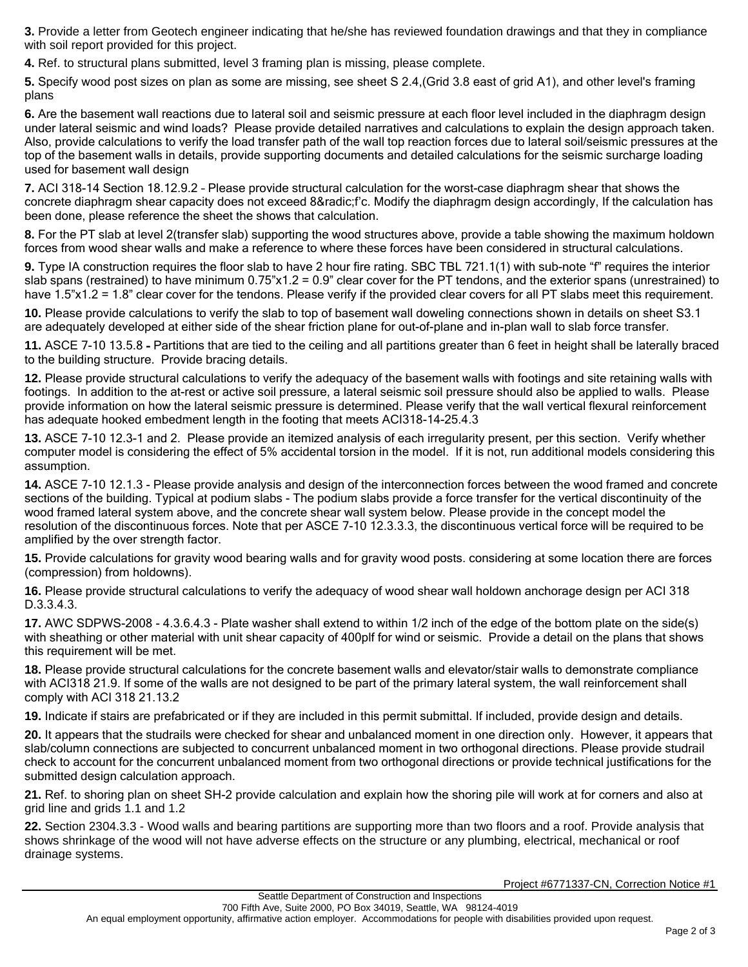**3.** Provide a letter from Geotech engineer indicating that he/she has reviewed foundation drawings and that they in compliance with soil report provided for this project.

**4.** Ref. to structural plans submitted, level 3 framing plan is missing, please complete.

**5.** Specify wood post sizes on plan as some are missing, see sheet S 2.4,(Grid 3.8 east of grid A1), and other level's framing plans

**6.** Are the basement wall reactions due to lateral soil and seismic pressure at each floor level included in the diaphragm design under lateral seismic and wind loads? Please provide detailed narratives and calculations to explain the design approach taken. Also, provide calculations to verify the load transfer path of the wall top reaction forces due to lateral soil/seismic pressures at the top of the basement walls in details, provide supporting documents and detailed calculations for the seismic surcharge loading used for basement wall design

**7.** ACI 318-14 Section 18.12.9.2 – Please provide structural calculation for the worst-case diaphragm shear that shows the concrete diaphragm shear capacity does not exceed 8√f'c. Modify the diaphragm design accordingly, If the calculation has been done, please reference the sheet the shows that calculation.

**8.** For the PT slab at level 2(transfer slab) supporting the wood structures above, provide a table showing the maximum holdown forces from wood shear walls and make a reference to where these forces have been considered in structural calculations.

**9.** Type IA construction requires the floor slab to have 2 hour fire rating. SBC TBL 721.1(1) with sub-note "f" requires the interior slab spans (restrained) to have minimum  $0.75$ " $\times$ 1.2 = 0.9" clear cover for the PT tendons, and the exterior spans (unrestrained) to have 1.5"x1.2 = 1.8" clear cover for the tendons. Please verify if the provided clear covers for all PT slabs meet this requirement.

**10.** Please provide calculations to verify the slab to top of basement wall doweling connections shown in details on sheet S3.1 are adequately developed at either side of the shear friction plane for out-of-plane and in-plan wall to slab force transfer.

**11.** ASCE 7-10 13.5.8 - Partitions that are tied to the ceiling and all partitions greater than 6 feet in height shall be laterally braced to the building structure. Provide bracing details.

**12.** Please provide structural calculations to verify the adequacy of the basement walls with footings and site retaining walls with footings. In addition to the at-rest or active soil pressure, a lateral seismic soil pressure should also be applied to walls. Please provide information on how the lateral seismic pressure is determined. Please verify that the wall vertical flexural reinforcement has adequate hooked embedment length in the footing that meets ACI318-14-25.4.3

**13.** ASCE 7-10 12.3-1 and 2. Please provide an itemized analysis of each irregularity present, per this section. Verify whether computer model is considering the effect of 5% accidental torsion in the model. If it is not, run additional models considering this assumption.

**14.** ASCE 7-10 12.1.3 - Please provide analysis and design of the interconnection forces between the wood framed and concrete sections of the building. Typical at podium slabs - The podium slabs provide a force transfer for the vertical discontinuity of the wood framed lateral system above, and the concrete shear wall system below. Please provide in the concept model the resolution of the discontinuous forces. Note that per ASCE 7-10 12.3.3.3, the discontinuous vertical force will be required to be amplified by the over strength factor.

**15.** Provide calculations for gravity wood bearing walls and for gravity wood posts. considering at some location there are forces (compression) from holdowns).

**16.** Please provide structural calculations to verify the adequacy of wood shear wall holdown anchorage design per ACI 318 D.3.3.4.3.

**17.** AWC SDPWS-2008 - 4.3.6.4.3 - Plate washer shall extend to within 1/2 inch of the edge of the bottom plate on the side(s) with sheathing or other material with unit shear capacity of 400plf for wind or seismic. Provide a detail on the plans that shows this requirement will be met.

**18.** Please provide structural calculations for the concrete basement walls and elevator/stair walls to demonstrate compliance with ACI318 21.9. If some of the walls are not designed to be part of the primary lateral system, the wall reinforcement shall comply with ACI 318 21.13.2

**19.** Indicate if stairs are prefabricated or if they are included in this permit submittal. If included, provide design and details.

**20.** It appears that the studrails were checked for shear and unbalanced moment in one direction only. However, it appears that slab/column connections are subjected to concurrent unbalanced moment in two orthogonal directions. Please provide studrail check to account for the concurrent unbalanced moment from two orthogonal directions or provide technical justifications for the submitted design calculation approach.

**21.** Ref. to shoring plan on sheet SH-2 provide calculation and explain how the shoring pile will work at for corners and also at grid line and grids 1.1 and 1.2

**22.** Section 2304.3.3 - Wood walls and bearing partitions are supporting more than two floors and a roof. Provide analysis that shows shrinkage of the wood will not have adverse effects on the structure or any plumbing, electrical, mechanical or roof drainage systems.

Project #6771337-CN, Correction Notice #1